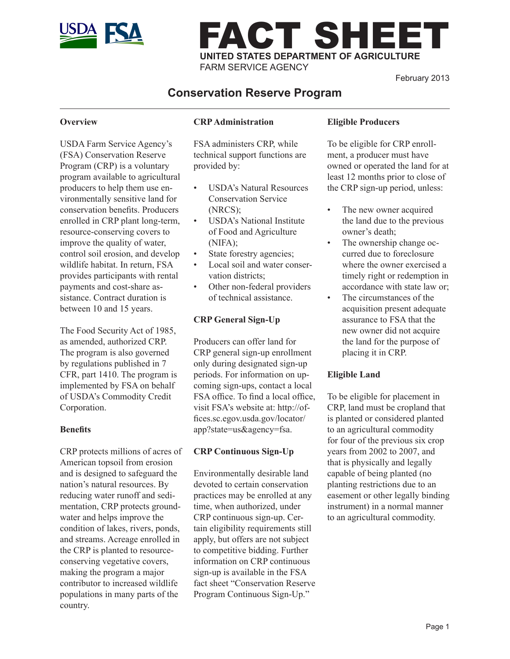

# FACT SHEET **UNITED STATES DEPARTMENT OF AGRICULTURE** FARM SERVICE AGENCY

February 2013

# **Conservation Reserve Program**

#### **Overview**

USDA Farm Service Agency's (FSA) Conservation Reserve Program (CRP) is a voluntary program available to agricultural producers to help them use environmentally sensitive land for conservation benefits. Producers enrolled in CRP plant long-term, resource-conserving covers to improve the quality of water, control soil erosion, and develop wildlife habitat. In return, FSA provides participants with rental payments and cost-share assistance. Contract duration is between 10 and 15 years.

The Food Security Act of 1985, as amended, authorized CRP. The program is also governed by regulations published in 7 CFR, part 1410. The program is implemented by FSA on behalf of USDA's Commodity Credit Corporation.

#### **Benefits**

CRP protects millions of acres of American topsoil from erosion and is designed to safeguard the nation's natural resources. By reducing water runoff and sedimentation, CRP protects groundwater and helps improve the condition of lakes, rivers, ponds, and streams. Acreage enrolled in the CRP is planted to resourceconserving vegetative covers, making the program a major contributor to increased wildlife populations in many parts of the country.

# **CRP Administration**

FSA administers CRP, while technical support functions are provided by:

- USDA's Natural Resources Conservation Service (NRCS);
- USDA's National Institute of Food and Agriculture (NIFA);
- State forestry agencies;
- Local soil and water conservation districts;
- Other non-federal providers of technical assistance.

### **CRP General Sign-Up**

Producers can offer land for CRP general sign-up enrollment only during designated sign-up periods. For information on upcoming sign-ups, contact a local FSA office. To find a local office, visit FSA's website at: http://offices.sc.egov.usda.gov/locator/ app?state=us&agency=fsa.

# **CRP Continuous Sign-Up**

Environmentally desirable land devoted to certain conservation practices may be enrolled at any time, when authorized, under CRP continuous sign-up. Certain eligibility requirements still apply, but offers are not subject to competitive bidding. Further information on CRP continuous sign-up is available in the FSA fact sheet "Conservation Reserve Program Continuous Sign-Up."

## **Eligible Producers**

To be eligible for CRP enrollment, a producer must have owned or operated the land for at least 12 months prior to close of the CRP sign-up period, unless:

- The new owner acquired the land due to the previous owner's death;
- The ownership change occurred due to foreclosure where the owner exercised a timely right or redemption in accordance with state law or;
- The circumstances of the acquisition present adequate assurance to FSA that the new owner did not acquire the land for the purpose of placing it in CRP.

### **Eligible Land**

To be eligible for placement in CRP, land must be cropland that is planted or considered planted to an agricultural commodity for four of the previous six crop years from 2002 to 2007, and that is physically and legally capable of being planted (no planting restrictions due to an easement or other legally binding instrument) in a normal manner to an agricultural commodity.